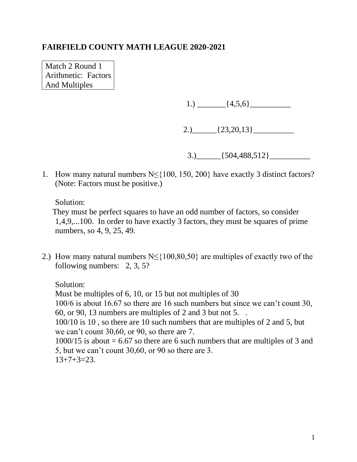Match 2 Round 1 Arithmetic: Factors And Multiples

1.)  $\{4,5,6\}$ 

2.)  ${23,20,13}$ 

 $3.$   $\{504,488,512\}$ 

1. How many natural numbers N≤{100, 150, 200} have exactly 3 distinct factors? (Note: Factors must be positive.)

Solution:

They must be perfect squares to have an odd number of factors, so consider 1,4,9,...100. In order to have exactly 3 factors, they must be squares of prime numbers, so 4, 9, 25, 49.

2.) How many natural numbers  $N \leq \{100, 80, 50\}$  are multiples of exactly two of the following numbers: 2, 3, 5?

Solution:

Must be multiples of 6, 10, or 15 but not multiples of 30 100/6 is about 16.67 so there are 16 such numbers but since we can't count 30, 60, or 90, 13 numbers are multiples of 2 and 3 but not 5. . 100/10 is 10 , so there are 10 such numbers that are multiples of 2 and 5, but we can't count 30,60, or 90, so there are 7.  $1000/15$  is about = 6.67 so there are 6 such numbers that are multiples of 3 and 5, but we can't count 30,60, or 90 so there are 3.  $13+7+3=23.$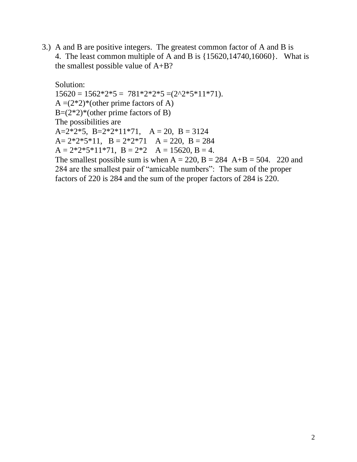3.) A and B are positive integers. The greatest common factor of A and B is 4. The least common multiple of A and B is {15620,14740,16060}. What is the smallest possible value of A+B?

Solution:  $15620 = 1562*2*5 = 781*2*2*5 = (2^2*5*11*71).$  $A = (2^*2)^*$  (other prime factors of A)  $B=(2*2)*(other prime factors of B)$ The possibilities are A= $2*2*5$ , B= $2*2*11*71$ , A = 20, B = 3124 A=  $2*2*5*11$ , B =  $2*2*71$  A = 220, B = 284  $A = 2*2*5*11*71$ ,  $B = 2*2$   $A = 15620$ ,  $B = 4$ . The smallest possible sum is when  $A = 220$ ,  $B = 284$   $A+B = 504$ . 220 and 284 are the smallest pair of "amicable numbers": The sum of the proper factors of 220 is 284 and the sum of the proper factors of 284 is 220.

2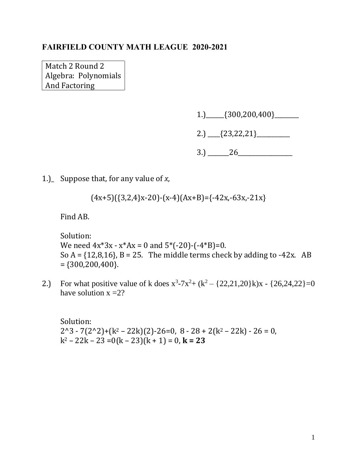Match 2 Round 2 Algebra: Polynomials And Factoring

1.)\_\_\_\_\_\_{300,200,400}\_\_\_\_\_\_\_\_

2.) \_\_\_\_{23,22,21}\_\_\_\_\_\_\_\_\_\_\_

 $3.) \_ 26 \_$ 

1.)\_ Suppose that, for any value of *x*,

$$
(4x+5)((3,2,4)x-20)-(x-4)(Ax+B)=(-42x,-63x,-21x)
$$

Find AB.

Solution: We need  $4x^*3x - x^*Ax = 0$  and  $5^*(-20) - (-4^*B)=0$ . So  $A = \{12, 8, 16\}$ ,  $B = 25$ . The middle terms check by adding to -42x. AB  $=$  {300,200,400}.

2.) For what positive value of k does  $x^3 - 7x^2 + (k^2 - \{22, 21, 20\})x - \{26, 24, 22\} = 0$ have solution  $x = 2$ ?

Solution:  $2^3 - 7(2^2) + (k^2 - 22k)(2) - 26 = 0$ ,  $8 - 28 + 2(k^2 - 22k) - 26 = 0$ ,  $k^2 - 22k - 23 = 0(k - 23)(k + 1) = 0$ ,  $k = 23$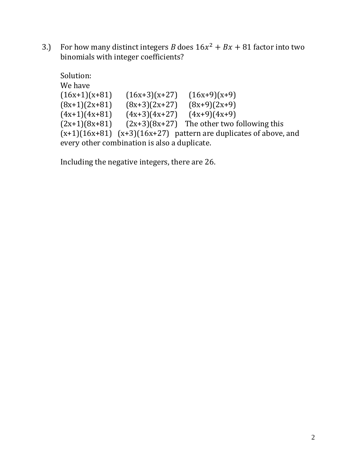3.) For how many distinct integers *B* does  $16x^2 + Bx + 81$  factor into two binomials with integer coefficients?

```
Solution:
We have
(16x+1)(x+81) (16x+3)(x+27) (16x+9)(x+9)(8x+1)(2x+81) (8x+3)(2x+27) (8x+9)(2x+9)(4x+1)(4x+81) (4x+3)(4x+27) (4x+9)(4x+9)(2x+1)(8x+81) (2x+3)(8x+27) The other two following this
(x+1)(16x+81) (x+3)(16x+27) pattern are duplicates of above, and
every other combination is also a duplicate.
```
Including the negative integers, there are 26.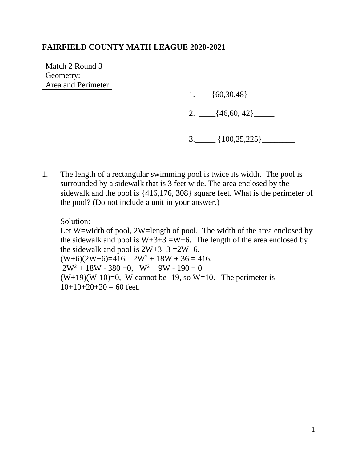Match 2 Round 3 Geometry: Area and Perimeter

1.\_\_\_\_{60,30,48}\_\_\_\_\_\_

2.  $\frac{46,60,42}{}$ 

- $3.$   $\{100,25,225\}$
- 1. The length of a rectangular swimming pool is twice its width. The pool is surrounded by a sidewalk that is 3 feet wide. The area enclosed by the sidewalk and the pool is {416,176, 308} square feet. What is the perimeter of the pool? (Do not include a unit in your answer.)

Solution: Let W=width of pool, 2W=length of pool. The width of the area enclosed by the sidewalk and pool is  $W+3+3=W+6$ . The length of the area enclosed by the sidewalk and pool is  $2W+3+3=2W+6$ .  $(W+6)(2W+6)=416$ ,  $2W^2 + 18W + 36 = 416$ ,  $2W^2 + 18W - 380 = 0$ ,  $W^2 + 9W - 190 = 0$  $(W+19)(W-10)=0$ , W cannot be -19, so W=10. The perimeter is  $10+10+20+20 = 60$  feet.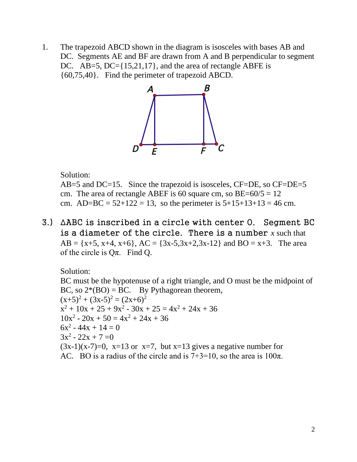1. The trapezoid ABCD shown in the diagram is isosceles with bases AB and DC. Segments AE and BF are drawn from A and B perpendicular to segment DC. AB=5, DC={15,21,17}, and the area of rectangle ABFE is {60,75,40}. Find the perimeter of trapezoid ABCD.



### Solution:

AB=5 and DC=15. Since the trapezoid is isosceles, CF=DE, so CF=DE=5 cm. The area of rectangle ABEF is 60 square cm, so  $BE=60/5 = 12$ cm. AD=BC =  $52+122 = 13$ , so the perimeter is  $5+15+13+13 = 46$  cm.

3.) ∆ABC is inscribed in a circle with center O. Segment BC is a diameter of the circle. There is a number *x* such that  $AB = \{x+5, x+4, x+6\}$ ,  $AC = \{3x-5, 3x+2, 3x-12\}$  and  $BO = x+3$ . The area of the circle is  $Q\pi$ . Find Q.

Solution: BC must be the hypotenuse of a right triangle, and O must be the midpoint of BC, so  $2*(BO) = BC$ . By Pythagorean theorem,  $(x+5)^2 + (3x-5)^2 = (2x+6)^2$  $x^2 + 10x + 25 + 9x^2 - 30x + 25 = 4x^2 + 24x + 36$  $10x^2 - 20x + 50 = 4x^2 + 24x + 36$  $6x^2 - 44x + 14 = 0$  $3x^2 - 22x + 7 = 0$  $(3x-1)(x-7)=0$ ,  $x=13$  or  $x=7$ , but  $x=13$  gives a negative number for AC. BO is a radius of the circle and is  $7+3=10$ , so the area is  $100\pi$ .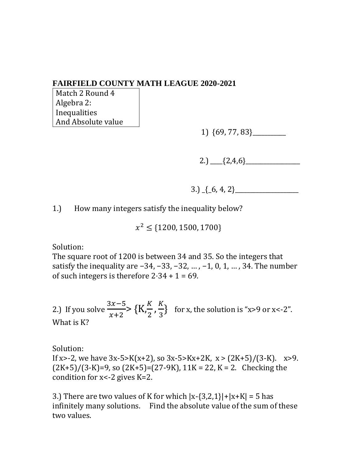Match 2 Round 4 Algebra 2: Inequalities And Absolute value

1) {69, 77, 83}\_\_\_\_\_\_\_\_\_\_\_

2.)  $\{2,4,6\}$ 

3.)  $\{6, 4, 2\}$ 

1.) How many integers satisfy the inequality below?

 $x^2 \leq$  {1200, 1500, 1700}

Solution:

The square root of 1200 is between 34 and 35. So the integers that satisfy the inequality are −34, −33, −32, ..., −1, 0, 1, ..., 34. The number of such integers is therefore  $2.34 + 1 = 69$ .

2.) If you solve  $3x-5$  $x+2$  $> \{K_{n}^{K}\}$  $\frac{K}{2}$ ,  $\frac{K}{3}$  $\frac{\pi}{3}$  for x, the solution is "x>9 or x<-2". What is K?

Solution: If x>-2, we have  $3x-5>K(x+2)$ , so  $3x-5>K(x+2K, x > (2K+5)/(3-K)$ .  $x>9$ .  $(2K+5)/(3-K)=9$ , so  $(2K+5)=(27-9K)$ ,  $11K = 22$ ,  $K = 2$ . Checking the condition for x<-2 gives K=2.

3.) There are two values of K for which  $|x-\{3,2,1\}|+|x+\mathbf{K}|=5$  has infinitely many solutions. Find the absolute value of the sum of these two values.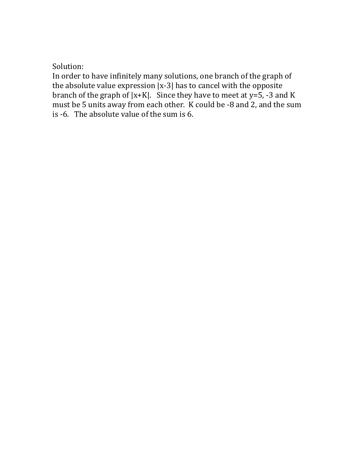# Solution:

In order to have infinitely many solutions, one branch of the graph of the absolute value expression |x-3| has to cancel with the opposite branch of the graph of  $|x+K|$ . Since they have to meet at  $y=5$ , -3 and K must be 5 units away from each other. K could be -8 and 2, and the sum is -6. The absolute value of the sum is 6.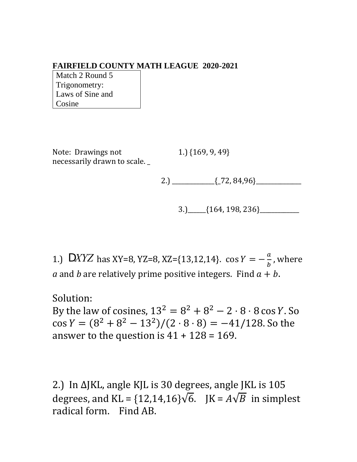Match 2 Round 5 Trigonometry: Laws of Sine and Cosine

Note: Drawings not 1.) {169, 9, 49} necessarily drawn to scale.

2.)  $\frac{[72, 84, 96]}{[72, 84, 96]}$ 

$$
3.)\qquad [164, 198, 236] \qquad \qquad
$$

1.) DXYZ has XY=8, YZ=8, XZ={13,12,14}. cos  $Y = -\frac{a}{b}$  $\frac{a}{b}$ , where *a* and *b* are relatively prime positive integers. Find  $a + b$ .

Solution:

By the law of cosines,  $13^2 = 8^2 + 8^2 - 2 \cdot 8 \cdot 8 \cos Y$ . So  $\cos Y = (8^2 + 8^2 - 13^2)/(2 \cdot 8 \cdot 8) = -41/128$ . So the answer to the question is  $41 + 128 = 169$ .

2.) In ∆JKL, angle KJL is 30 degrees, angle JKL is 105 degrees, and KL =  $\{12, 14, 16\}\sqrt{6}$ . JK =  $A\sqrt{B}$  in simplest radical form. Find AB.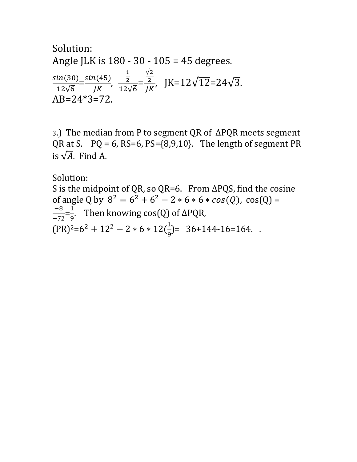Solution: Angle JLK is 180 - 30 - 105 = 45 degrees. (30) 12√6  $=\frac{\sin(45)}{11}$ JK , 1 2 12√6 = √2 2  $\frac{2}{JK}$ , JK=12 $\sqrt{12}=24\sqrt{3}$ . AB=24\*3=72.

3.) The median from P to segment QR of ∆PQR meets segment QR at S.  $PQ = 6$ ,  $RS=6$ ,  $PS=\{8,9,10\}$ . The length of segment PR is  $\sqrt{A}$ . Find A.

Solution:

S is the midpoint of QR, so QR=6. From ∆PQS, find the cosine of angle Q by  $8^2 = 6^2 + 6^2 - 2 * 6 * 6 * cos(Q)$ , cos(Q) = −8  $\frac{-8}{-72} = \frac{1}{9}$  $\frac{1}{9}$ . Then knowing cos(Q) of  $\Delta PQR$ ,  $(PR)^{2}=6^{2}+12^{2}-2*6*12(\frac{1}{2})$  $\frac{1}{9}$ = 36+144-16=164...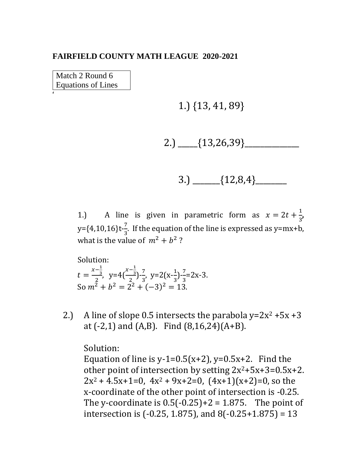Match 2 Round 6 Equations of Lines

'

1.) {13, 41, 89}

$$
2.)\ \_\_\{13,26,39\}\_\_\_\_\_\_\_\_\_\_\_\_\_
$$

$$
3.) \ \ \_ \ \ \{12,8,4\} \ \ \_
$$

1.) A line is given in parametric form as  $x = 2t + \frac{1}{3}$  $\frac{1}{3}$  $y = \{4, 10, 16\}t - \frac{7}{3}$  $\frac{1}{3}$ . If the equation of the line is expressed as y=mx+b, what is the value of  $m^2 + b^2$ ?

Solution:  $t = \frac{x - \frac{1}{3}}{2}$ 3  $\frac{-\frac{1}{3}}{2}$ , y=4 $\left(\frac{x-\frac{1}{3}}{2}\right)$ 3  $\frac{-3}{2}$ ) $\frac{7}{3}$  $\frac{7}{3}$ , y=2(x- $\frac{1}{3}$ )  $\frac{1}{3}$ ) $\frac{7}{3}$  $\frac{2}{3}$ =2x-3. So  $m^2 + b^2 = 2^2 + (-3)^2 = 13$ .

2.) A line of slope 0.5 intersects the parabola  $y=2x^2 +5x +3$ at  $(-2,1)$  and  $(A,B)$ . Find  $(8,16,24)(A+B)$ .

## Solution:

Equation of line is y-1=0.5(x+2), y=0.5x+2. Find the other point of intersection by setting  $2x^2+5x+3=0.5x+2$ .  $2x^2 + 4.5x + 1 = 0$ ,  $4x^2 + 9x + 2 = 0$ ,  $(4x + 1)(x + 2) = 0$ , so the x-coordinate of the other point of intersection is -0.25. The y-coordinate is  $0.5(-0.25)+2 = 1.875$ . The point of intersection is (-0.25, 1.875), and 8(-0.25+1.875) = 13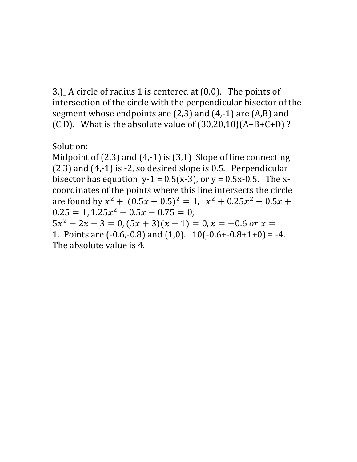3.)\_ A circle of radius 1 is centered at (0,0). The points of intersection of the circle with the perpendicular bisector of the segment whose endpoints are (2,3) and (4,-1) are (A,B) and (C,D). What is the absolute value of  $(30,20,10)(A+B+C+D)$ ?

Solution:

Midpoint of (2,3) and (4,-1) is (3,1) Slope of line connecting (2,3) and (4,-1) is -2, so desired slope is 0.5. Perpendicular bisector has equation  $y-1 = 0.5(x-3)$ , or  $y = 0.5x-0.5$ . The xcoordinates of the points where this line intersects the circle are found by  $x^2 + (0.5x - 0.5)^2 = 1$ ,  $x^2 + 0.25x^2 - 0.5x +$  $0.25 = 1, 1.25x^2 - 0.5x - 0.75 = 0,$  $5x^2 - 2x - 3 = 0$ ,  $(5x + 3)(x - 1) = 0$ ,  $x = -0.6$  or  $x =$ 1. Points are  $(-0.6,-0.8)$  and  $(1,0)$ .  $10(-0.6+-0.8+1+0) = -4$ . The absolute value is 4.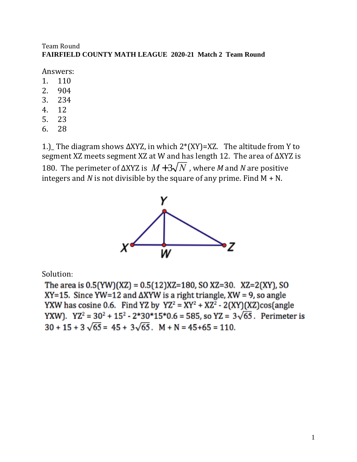#### Team Round **FAIRFIELD COUNTY MATH LEAGUE 2020-21 Match 2 Team Round**

Answers:

- 1. 110
- 2. 904
- 3. 234
- 4. 12
- 5. 23
- 6. 28

1.)\_ The diagram shows ∆XYZ, in which 2\*(XY)=XZ. The altitude from Y to segment XZ meets segment XZ at W and has length 12. The area of ∆XYZ is 180. The perimeter of ΔXYZ is  $M + 3\sqrt{N}$  , where *M* and *N* are positive integers and  $N$  is not divisible by the square of any prime. Find  $M + N$ .



Solution:

The area is  $0.5(YW)(XZ) = 0.5(12)XZ = 180$ , SO XZ=30. XZ=2(XY), SO  $XY=15$ . Since YW=12 and  $\triangle$ XYW is a right triangle, XW = 9, so angle YXW has cosine 0.6. Find YZ by  $YZ^2 = XY^2 + XZ^2 - 2(XY)(XZ) \cos(\text{angle})$ YXW). YZ<sup>2</sup> = 30<sup>2</sup> + 15<sup>2</sup> - 2\*30\*15\*0.6 = 585, so YZ =  $3\sqrt{65}$ . Perimeter is  $30 + 15 + 3\sqrt{65} = 45 + 3\sqrt{65}$ . M + N = 45+65 = 110.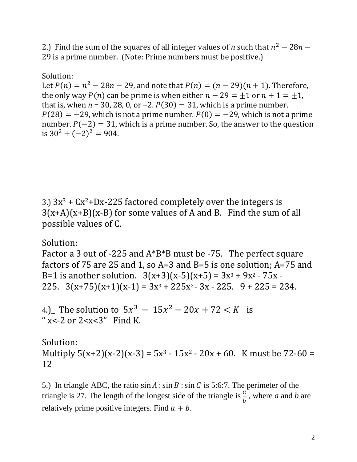2.) Find the sum of the squares of all integer values of *n* such that  $n^2 - 28n - 1$ 29 is a prime number. (Note: Prime numbers must be positive.)

# Solution:

Let  $P(n) = n^2 - 28n - 29$ , and note that  $P(n) = (n - 29)(n + 1)$ . Therefore, the only way  $P(n)$  can be prime is when either  $n - 29 = \pm 1$  or  $n + 1 = \pm 1$ , that is, when  $n = 30$ , 28, 0, or  $-2$ .  $P(30) = 31$ , which is a prime number.  $P(28) = -29$ , which is not a prime number.  $P(0) = -29$ , which is not a prime number.  $P(-2) = 31$ , which is a prime number. So, the answer to the question is 30<sup>2</sup> +  $(-2)^2$  = 904.

3.)  $3x^3 + Cx^2 + Dx - 225$  factored completely over the integers is  $3(x+A)(x+B)(x-B)$  for some values of A and B. Find the sum of all possible values of C.

Solution:

Factor a 3 out of -225 and A\*B\*B must be -75. The perfect square factors of 75 are 25 and 1, so A=3 and B=5 is one solution; A=75 and B=1 is another solution.  $3(x+3)(x-5)(x+5) = 3x^3 + 9x^2 - 75x$ 225.  $3(x+75)(x+1)(x-1) = 3x^3 + 225x^2 - 3x - 225$ .  $9 + 225 = 234$ .

4.) The solution to  $5x^3 - 15x^2 - 20x + 72 < K$  is "  $x < -2$  or  $2 < x < 3$ " Find K.

Solution: Multiply  $5(x+2)(x-2)(x-3) = 5x^3 - 15x^2 - 20x + 60$ . K must be 72-60 = 12

5.) In triangle ABC, the ratio  $\sin A : \sin B : \sin C$  is 5:6:7. The perimeter of the triangle is 27. The length of the longest side of the triangle is  $\frac{a}{b}$ , where *a* and *b* are relatively prime positive integers. Find  $a + b$ .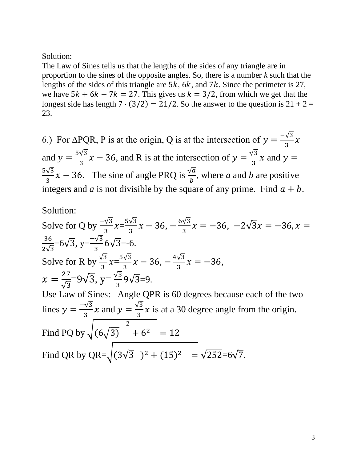Solution:

The Law of Sines tells us that the lengths of the sides of any triangle are in proportion to the sines of the opposite angles. So, there is a number *k* such that the lengths of the sides of this triangle are  $5k$ ,  $6k$ , and  $7k$ . Since the perimeter is 27, we have  $5k + 6k + 7k = 27$ . This gives us  $k = 3/2$ , from which we get that the longest side has length  $7 \cdot (3/2) = 21/2$ . So the answer to the question is  $21 + 2 =$ 23.

6.) For  $\triangle PQR$ , P is at the origin, Q is at the intersection of  $y = \frac{-\sqrt{3}}{2}$  $rac{\sqrt{3}}{3}x$ and  $y = \frac{5\sqrt{3}}{2}$  $\frac{\sqrt{3}}{3}x - 36$ , and R is at the intersection of  $y = \frac{\sqrt{3}}{3}$  $\frac{\pi}{3}$  x and y =  $5\sqrt{3}$  $\frac{\sqrt{3}}{3}x - 36$ . The sine of angle PRQ is  $\frac{\sqrt{a}}{b}$ , where *a* and *b* are positive integers and *a* is not divisible by the square of any prime. Find  $a + b$ .

# Solution:

Solve for Q by 
$$
\frac{\sqrt{3}}{3}x = \frac{5\sqrt{3}}{3}x - 36
$$
,  $-\frac{6\sqrt{3}}{3}x = -36$ ,  $-2\sqrt{3}x = -36$ ,  $x = \frac{36}{2\sqrt{3}} = 6\sqrt{3}$ ,  $y = \frac{-\sqrt{3}}{3}6\sqrt{3} = -6$ .  
\nSolve for R by  $\frac{\sqrt{3}}{3}x = \frac{5\sqrt{3}}{3}x - 36$ ,  $-\frac{4\sqrt{3}}{3}x = -36$ ,  
\n $x = \frac{27}{\sqrt{3}} = 9\sqrt{3}$ ,  $y = \frac{\sqrt{3}}{3}9\sqrt{3} = 9$ .  
\nUse Law of Sines: Angle QPR is 60 degrees because each of the two  
\nlines  $y = \frac{-\sqrt{3}}{3}x$  and  $y = \frac{\sqrt{3}}{3}x$  is at a 30 degree angle from the origin.  
\nFind PQ by  $\sqrt{(6\sqrt{3})^2 + 6^2} = 12$   
\nFind QR by QR= $\sqrt{(3\sqrt{3})^2 + (15)^2} = \sqrt{252} = 6\sqrt{7}$ .